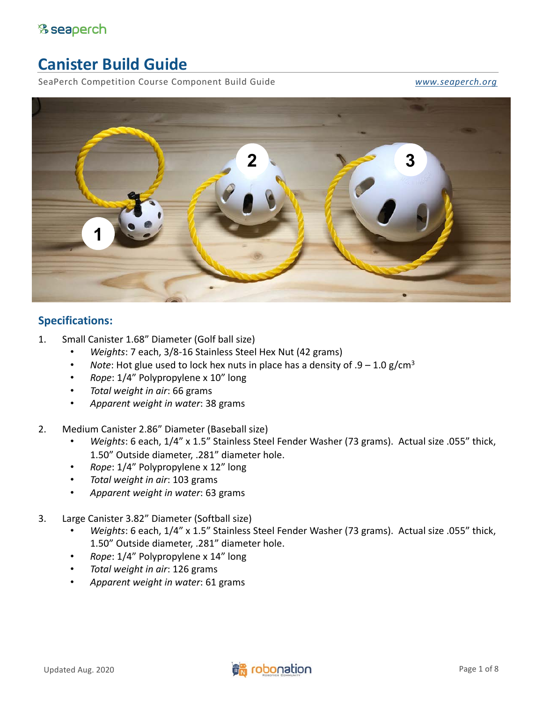# **Canister Build Guide**

SeaPerch Competition Course Component Build Guide *[www.seaperch.org](http://www.seaperch.org/)*

<span id="page-0-0"></span>



#### **Specifications:**

- 1. Small Canister 1.68" Diameter (Golf ball size)
	- *Weights*: 7 each, 3/8-16 Stainless Steel Hex Nut (42 grams)
	- *Note*: Hot glue used to lock hex nuts in place has a density of  $.9 1.0$  g/cm<sup>3</sup>
	- *Rope*: 1/4" Polypropylene x 10" long
	- *Total weight in air*: 66 grams
	- *Apparent weight in water*: 38 grams
- 2. Medium Canister 2.86" Diameter (Baseball size)
	- *Weights*: 6 each, 1/4" x 1.5" Stainless Steel Fender Washer (73 grams). Actual size .055" thick, 1.50" Outside diameter, .281" diameter hole.
	- *Rope*: 1/4" Polypropylene x 12" long
	- *Total weight in air*: 103 grams
	- *Apparent weight in water*: 63 grams
- 3. Large Canister 3.82" Diameter (Softball size)
	- *Weights*: 6 each, 1/4" x 1.5" Stainless Steel Fender Washer (73 grams). Actual size .055" thick, 1.50" Outside diameter, .281" diameter hole.
	- *Rope*: 1/4" Polypropylene x 14" long
	- *Total weight in air*: 126 grams
	- *Apparent weight in water*: 61 grams

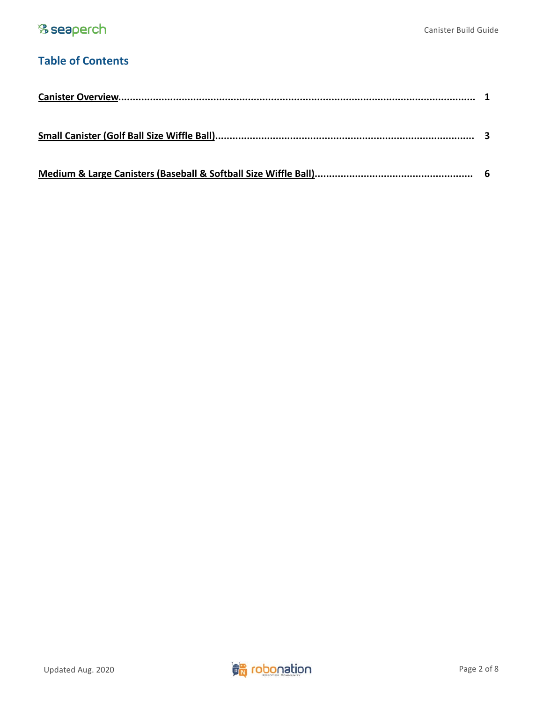## **Table of Contents**

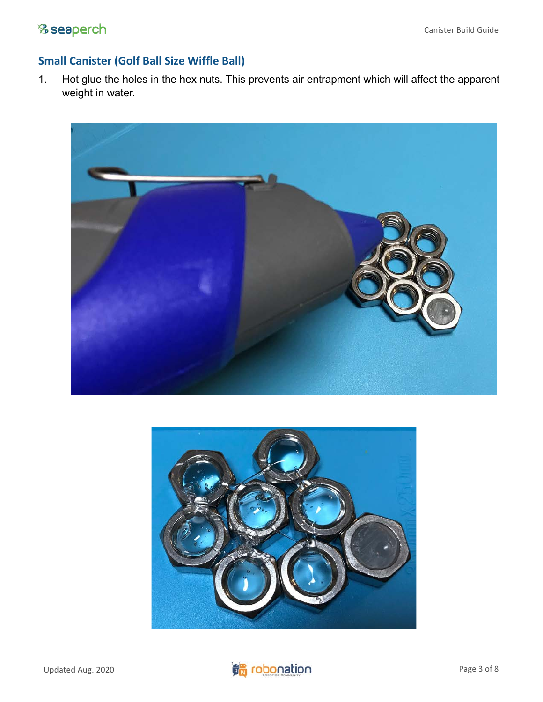### <span id="page-2-0"></span>% seaperch

#### **Small Canister (Golf Ball Size Wiffle Ball)**

1. Hot glue the holes in the hex nuts. This prevents air entrapment which will affect the apparent weight in water.





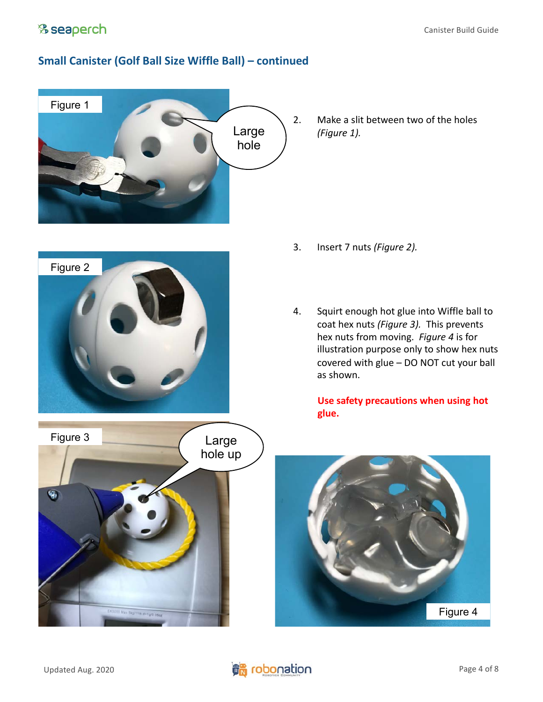#### **Small Canister (Golf Ball Size Wiffle Ball) – continued**



2. Make a slit between two of the holes *(Figure 1).*





- 3. Insert 7 nuts *(Figure 2).*
- 4. Squirt enough hot glue into Wiffle ball to coat hex nuts *(Figure 3).* This prevents hex nuts from moving. *Figure 4* is for illustration purpose only to show hex nuts covered with glue – DO NOT cut your ball as shown.

**Use safety precautions when using hot glue.**



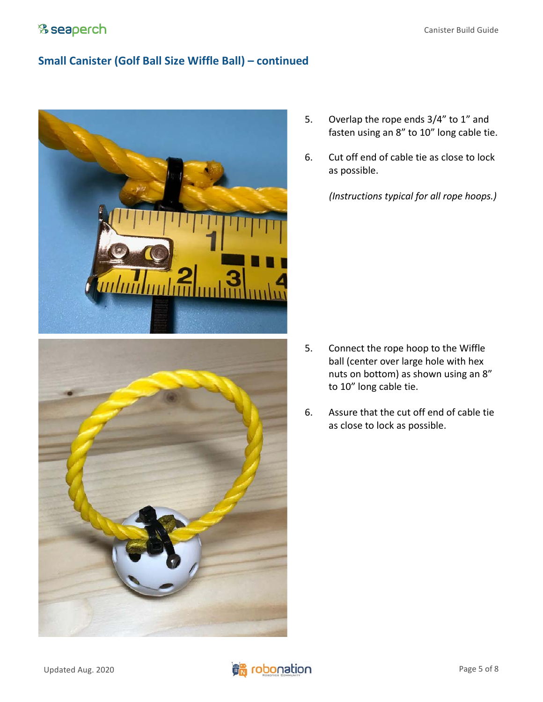#### **Small Canister (Golf Ball Size Wiffle Ball) – continued**



- 5. Overlap the rope ends 3/4" to 1" and fasten using an 8" to 10" long cable tie.
- 6. Cut off end of cable tie as close to lock as possible.

*(Instructions typical for all rope hoops.)*

- 5. Connect the rope hoop to the Wiffle ball (center over large hole with hex nuts on bottom) as shown using an 8" to 10" long cable tie.
- 6. Assure that the cut off end of cable tie as close to lock as possible.

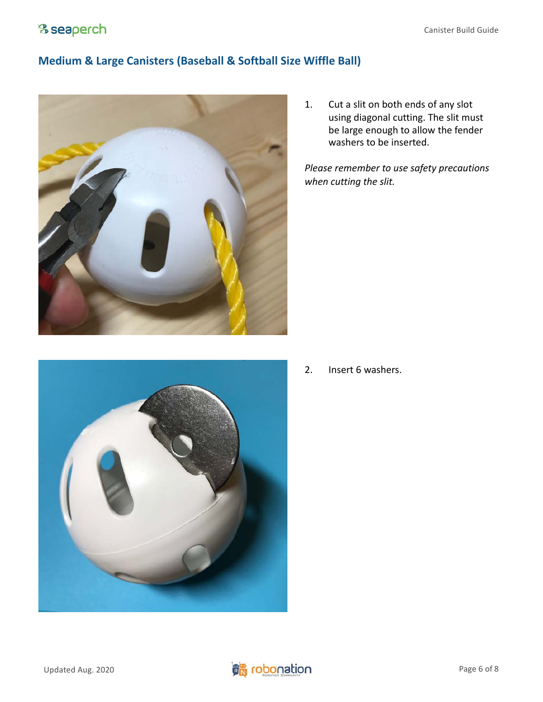#### **Medium & Large Canisters (Baseball & Softball Size Wiffle Ball)**





<span id="page-5-0"></span>1. Cut a slit on both ends of any slot using diagonal cutting. The slit must be large enough to allow the fender washers to be inserted.

*Please remember to use safety precautions when cutting the slit.*

2. Insert 6 washers.

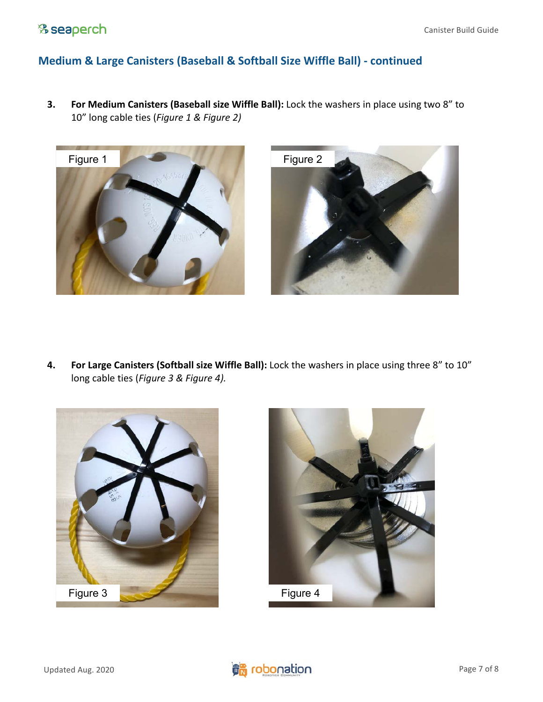### & seaperch

#### **Medium & Large Canisters (Baseball & Softball Size Wiffle Ball) - continued**

**3. For Medium Canisters (Baseball size Wiffle Ball):** Lock the washers in place using two 8" to 10" long cable ties (*Figure 1 & Figure 2)*





**4. For Large Canisters (Softball size Wiffle Ball):** Lock the washers in place using three 8" to 10" long cable ties (*Figure 3 & Figure 4).*